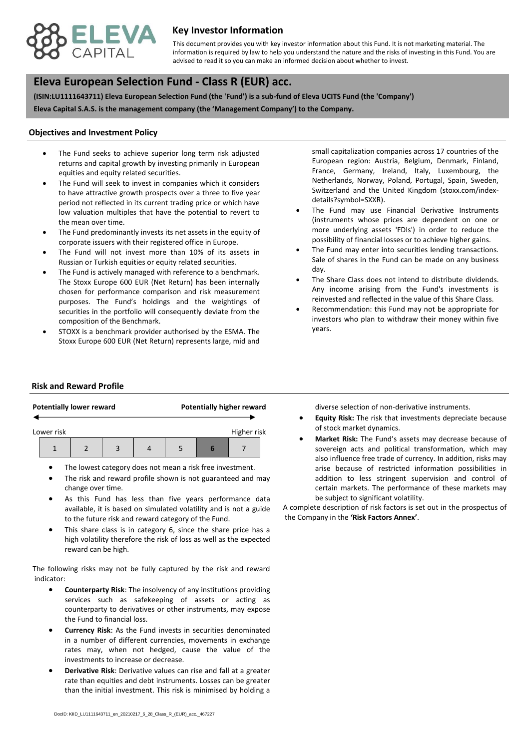

## **Key Investor Information**

advised to read it so you can make an informed decision about whether to invest. This document provides you with key investor information about this Fund. It is not marketing material. The information is required by law to help you understand the nature and the risks of investing in this Fund. You are

# **, Eleva European Selection Fund - Class R (EUR) acc.**

**(ISIN:LU1111643711) Eleva European Selection Fund (the 'Fund') is a sub-fund of Eleva UCITS Fund (the 'Company') Eleva Capital S.A.S. is the management company (the 'Management Company') to the Company.**

#### **Objectives and Investment Policy**

- equities and equity related securities. The Fund seeks to achieve superior long term risk adjusted returns and capital growth by investing primarily in European
- The Fund will seek to invest in companies which it considers to have attractive growth prospects over a three to five year period not reflected in its current trading price or which have low valuation multiples that have the potential to revert to the mean over time.
- The Fund predominantly invests its net assets in the equity of corporate issuers with their registered office in Europe.
- The Fund will not invest more than 10% of its assets in Russian or Turkish equities or equity related securities.
- The Fund is actively managed with reference to a benchmark. The Stoxx Europe 600 EUR (Net Return) has been internally chosen for performance comparison and risk measurement purposes. The Fund's holdings and the weightings of securities in the portfolio will consequently deviate from the composition of the Benchmark.
- STOXX is a benchmark provider authorised by the ESMA. The Stoxx Europe 600 EUR (Net Return) represents large, mid and

small capitalization companies across 17 countries of the European region: Austria, Belgium, Denmark, Finland, France, Germany, Ireland, Italy, Luxembourg, the Netherlands, Norway, Poland, Portugal, Spain, Sweden, Switzerland and the United Kingdom (stoxx.com/indexdetails?symbol=SXXR).

- The Fund may use Financial Derivative Instruments (instruments whose prices are dependent on one or more underlying assets 'FDIs') in order to reduce the possibility of financial losses or to achieve higher gains.
- The Fund may enter into securities lending transactions. Sale of shares in the Fund can be made on any business day.
- The Share Class does not intend to distribute dividends. Any income arising from the Fund's investments is reinvested and reflected in the value of this Share Class.
- Recommendation: this Fund may not be appropriate for investors who plan to withdraw their money within five years.

### **Risk and Reward Profile**

|                           |  | <b>Potentially lower reward</b> |  |  | <b>Potentially higher reward</b> |   |  |  |
|---------------------------|--|---------------------------------|--|--|----------------------------------|---|--|--|
| Higher risk<br>Lower risk |  |                                 |  |  |                                  |   |  |  |
|                           |  |                                 |  |  |                                  | ь |  |  |

- The lowest category does not mean a risk free investment.
- The risk and reward profile shown is not guaranteed and may change over time.
- As this Fund has less than five years performance data available, it is based on simulated volatility and is not a guide to the future risk and reward category of the Fund.
- This share class is in category 6, since the share price has a high volatility therefore the risk of loss as well as the expected reward can be high.

The following risks may not be fully captured by the risk and reward indicator:

- **Counterparty Risk**: The insolvency of any institutions providing services such as safekeeping of assets or acting as counterparty to derivatives or other instruments, may expose the Fund to financial loss.
- **Currency Risk**: As the Fund invests in securities denominated in a number of different currencies, movements in exchange rates may, when not hedged, cause the value of the investments to increase or decrease.
- **Derivative Risk**: Derivative values can rise and fall at a greater rate than equities and debt instruments. Losses can be greater than the initial investment. This risk is minimised by holding a

diverse selection of non-derivative instruments.

- **Equity Risk:** The risk that investments depreciate because of stock market dynamics.
- **Market Risk:** The Fund's assets may decrease because of sovereign acts and political transformation, which may also influence free trade of currency. In addition, risks may arise because of restricted information possibilities in addition to less stringent supervision and control of certain markets. The performance of these markets may be subject to significant volatility.

A complete description of risk factors is set out in the prospectus of the Company in the **'Risk Factors Annex'**.